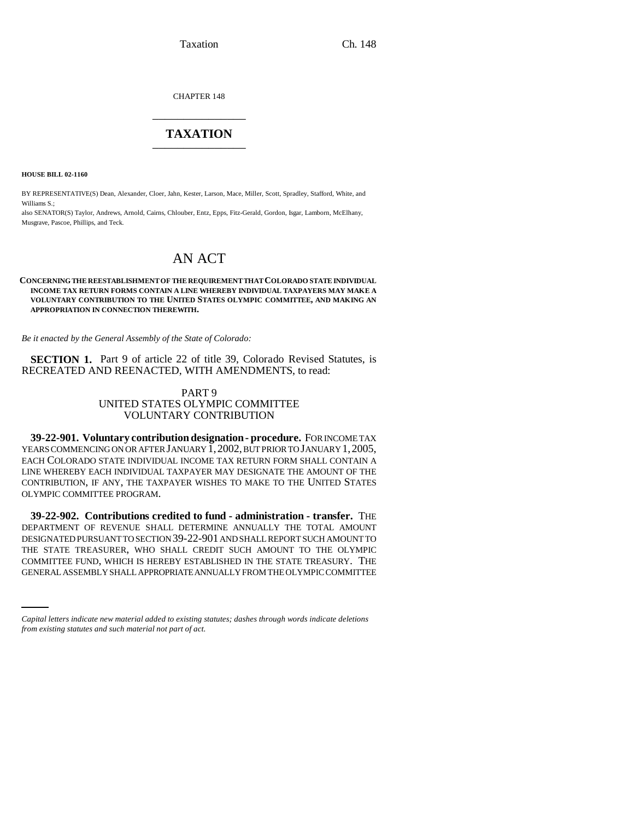Taxation Ch. 148

CHAPTER 148 \_\_\_\_\_\_\_\_\_\_\_\_\_\_\_

## **TAXATION** \_\_\_\_\_\_\_\_\_\_\_\_\_\_\_

**HOUSE BILL 02-1160**

BY REPRESENTATIVE(S) Dean, Alexander, Cloer, Jahn, Kester, Larson, Mace, Miller, Scott, Spradley, Stafford, White, and Williams S<sup>.</sup>

also SENATOR(S) Taylor, Andrews, Arnold, Cairns, Chlouber, Entz, Epps, Fitz-Gerald, Gordon, Isgar, Lamborn, McElhany, Musgrave, Pascoe, Phillips, and Teck.

# AN ACT

#### **CONCERNING THE REESTABLISHMENT OF THE REQUIREMENT THAT COLORADO STATE INDIVIDUAL INCOME TAX RETURN FORMS CONTAIN A LINE WHEREBY INDIVIDUAL TAXPAYERS MAY MAKE A VOLUNTARY CONTRIBUTION TO THE UNITED STATES OLYMPIC COMMITTEE, AND MAKING AN APPROPRIATION IN CONNECTION THEREWITH.**

*Be it enacted by the General Assembly of the State of Colorado:*

**SECTION 1.** Part 9 of article 22 of title 39, Colorado Revised Statutes, is RECREATED AND REENACTED, WITH AMENDMENTS, to read:

## PART 9 UNITED STATES OLYMPIC COMMITTEE VOLUNTARY CONTRIBUTION

**39-22-901. Voluntary contribution designation - procedure.** FOR INCOME TAX YEARS COMMENCING ON OR AFTER JANUARY 1, 2002, BUT PRIOR TO JANUARY 1, 2005, EACH COLORADO STATE INDIVIDUAL INCOME TAX RETURN FORM SHALL CONTAIN A LINE WHEREBY EACH INDIVIDUAL TAXPAYER MAY DESIGNATE THE AMOUNT OF THE CONTRIBUTION, IF ANY, THE TAXPAYER WISHES TO MAKE TO THE UNITED STATES OLYMPIC COMMITTEE PROGRAM.

THE STATE TREASURER, WHO SHALL CREDIT SUCH AMOUNT TO THE OLYMPIC **39-22-902. Contributions credited to fund - administration - transfer.** THE DEPARTMENT OF REVENUE SHALL DETERMINE ANNUALLY THE TOTAL AMOUNT DESIGNATED PURSUANT TO SECTION 39-22-901 AND SHALL REPORT SUCH AMOUNT TO COMMITTEE FUND, WHICH IS HEREBY ESTABLISHED IN THE STATE TREASURY. THE GENERAL ASSEMBLY SHALL APPROPRIATE ANNUALLY FROM THE OLYMPIC COMMITTEE

*Capital letters indicate new material added to existing statutes; dashes through words indicate deletions from existing statutes and such material not part of act.*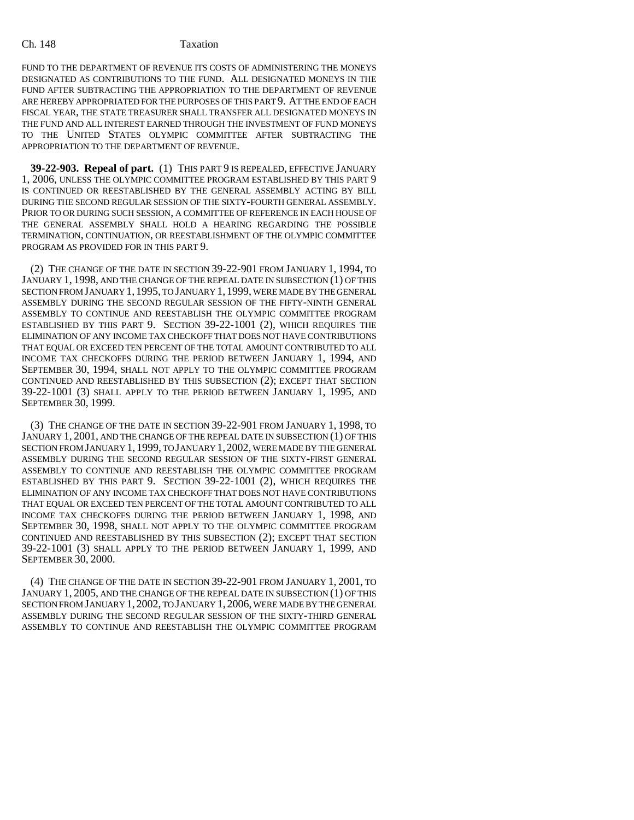### Ch. 148 Taxation

FUND TO THE DEPARTMENT OF REVENUE ITS COSTS OF ADMINISTERING THE MONEYS DESIGNATED AS CONTRIBUTIONS TO THE FUND. ALL DESIGNATED MONEYS IN THE FUND AFTER SUBTRACTING THE APPROPRIATION TO THE DEPARTMENT OF REVENUE ARE HEREBY APPROPRIATED FOR THE PURPOSES OF THIS PART 9. AT THE END OF EACH FISCAL YEAR, THE STATE TREASURER SHALL TRANSFER ALL DESIGNATED MONEYS IN THE FUND AND ALL INTEREST EARNED THROUGH THE INVESTMENT OF FUND MONEYS TO THE UNITED STATES OLYMPIC COMMITTEE AFTER SUBTRACTING THE APPROPRIATION TO THE DEPARTMENT OF REVENUE.

**39-22-903. Repeal of part.** (1) THIS PART 9 IS REPEALED, EFFECTIVE JANUARY 1, 2006, UNLESS THE OLYMPIC COMMITTEE PROGRAM ESTABLISHED BY THIS PART 9 IS CONTINUED OR REESTABLISHED BY THE GENERAL ASSEMBLY ACTING BY BILL DURING THE SECOND REGULAR SESSION OF THE SIXTY-FOURTH GENERAL ASSEMBLY. PRIOR TO OR DURING SUCH SESSION, A COMMITTEE OF REFERENCE IN EACH HOUSE OF THE GENERAL ASSEMBLY SHALL HOLD A HEARING REGARDING THE POSSIBLE TERMINATION, CONTINUATION, OR REESTABLISHMENT OF THE OLYMPIC COMMITTEE PROGRAM AS PROVIDED FOR IN THIS PART 9.

(2) THE CHANGE OF THE DATE IN SECTION 39-22-901 FROM JANUARY 1, 1994, TO JANUARY 1, 1998, AND THE CHANGE OF THE REPEAL DATE IN SUBSECTION (1) OF THIS SECTION FROM JANUARY 1, 1995, TO JANUARY 1, 1999, WERE MADE BY THE GENERAL ASSEMBLY DURING THE SECOND REGULAR SESSION OF THE FIFTY-NINTH GENERAL ASSEMBLY TO CONTINUE AND REESTABLISH THE OLYMPIC COMMITTEE PROGRAM ESTABLISHED BY THIS PART 9. SECTION 39-22-1001 (2), WHICH REQUIRES THE ELIMINATION OF ANY INCOME TAX CHECKOFF THAT DOES NOT HAVE CONTRIBUTIONS THAT EQUAL OR EXCEED TEN PERCENT OF THE TOTAL AMOUNT CONTRIBUTED TO ALL INCOME TAX CHECKOFFS DURING THE PERIOD BETWEEN JANUARY 1, 1994, AND SEPTEMBER 30, 1994, SHALL NOT APPLY TO THE OLYMPIC COMMITTEE PROGRAM CONTINUED AND REESTABLISHED BY THIS SUBSECTION (2); EXCEPT THAT SECTION 39-22-1001 (3) SHALL APPLY TO THE PERIOD BETWEEN JANUARY 1, 1995, AND SEPTEMBER 30, 1999.

(3) THE CHANGE OF THE DATE IN SECTION 39-22-901 FROM JANUARY 1, 1998, TO JANUARY 1, 2001, AND THE CHANGE OF THE REPEAL DATE IN SUBSECTION (1) OF THIS SECTION FROM JANUARY 1, 1999, TO JANUARY 1,2002, WERE MADE BY THE GENERAL ASSEMBLY DURING THE SECOND REGULAR SESSION OF THE SIXTY-FIRST GENERAL ASSEMBLY TO CONTINUE AND REESTABLISH THE OLYMPIC COMMITTEE PROGRAM ESTABLISHED BY THIS PART 9. SECTION 39-22-1001 (2), WHICH REQUIRES THE ELIMINATION OF ANY INCOME TAX CHECKOFF THAT DOES NOT HAVE CONTRIBUTIONS THAT EQUAL OR EXCEED TEN PERCENT OF THE TOTAL AMOUNT CONTRIBUTED TO ALL INCOME TAX CHECKOFFS DURING THE PERIOD BETWEEN JANUARY 1, 1998, AND SEPTEMBER 30, 1998, SHALL NOT APPLY TO THE OLYMPIC COMMITTEE PROGRAM CONTINUED AND REESTABLISHED BY THIS SUBSECTION (2); EXCEPT THAT SECTION 39-22-1001 (3) SHALL APPLY TO THE PERIOD BETWEEN JANUARY 1, 1999, AND SEPTEMBER 30, 2000.

(4) THE CHANGE OF THE DATE IN SECTION 39-22-901 FROM JANUARY 1, 2001, TO JANUARY 1, 2005, AND THE CHANGE OF THE REPEAL DATE IN SUBSECTION (1) OF THIS SECTION FROM JANUARY 1, 2002, TO JANUARY 1, 2006, WERE MADE BY THE GENERAL ASSEMBLY DURING THE SECOND REGULAR SESSION OF THE SIXTY-THIRD GENERAL ASSEMBLY TO CONTINUE AND REESTABLISH THE OLYMPIC COMMITTEE PROGRAM